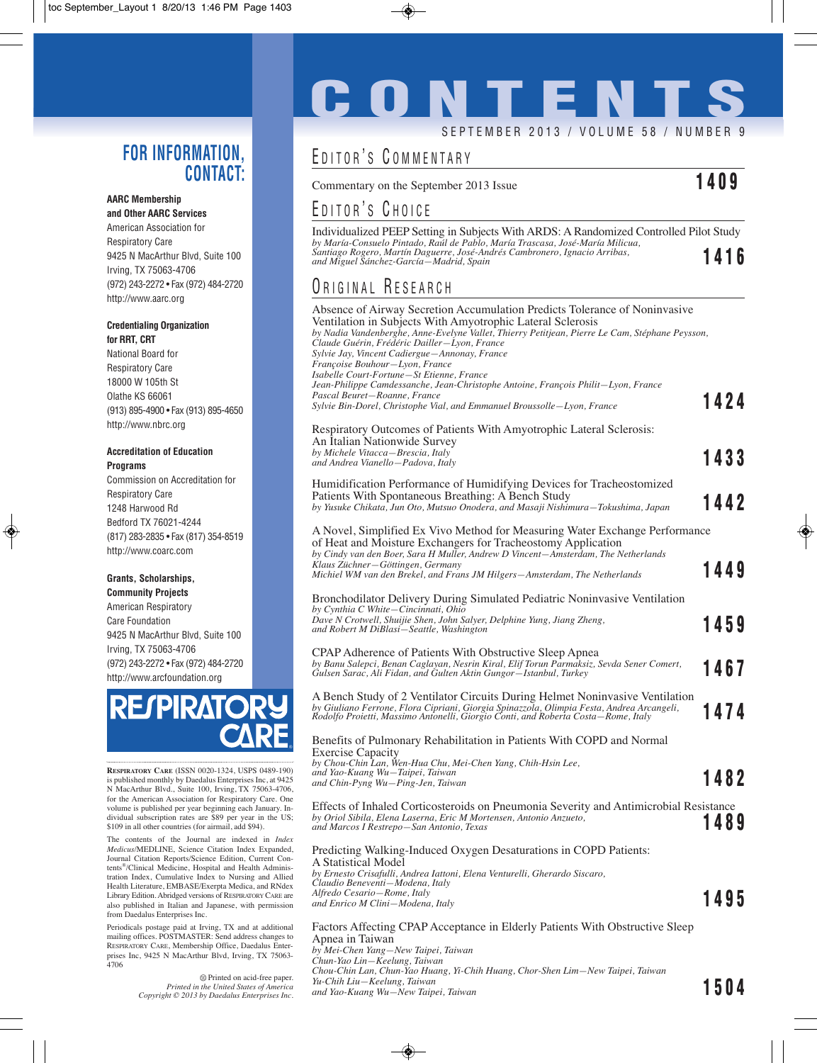#### **FOR INFORMATION, CONTACT:**

#### **AARC Membership**

**and Other AARC Services** American Association for Respiratory Care 9425 N MacArthur Blvd, Suite 100 Irving, TX 75063-4706 (972) 243-2272 • Fax (972) 484-2720 http://www.aarc.org

#### **Credentialing Organization for RRT, CRT**

National Board for Respiratory Care 18000 W 105th St Olathe KS 66061 (913) 895-4900 • Fax (913) 895-4650 http://www.nbrc.org

#### **Accreditation of Education Programs**

Commission on Accreditation for Respiratory Care 1248 Harwood Rd Bedford TX 76021-4244 (817) 283-2835 • Fax (817) 354-8519 http://www.coarc.com

#### **Grants, Scholarships, Community Projects**

American Respiratory Care Foundation 9425 N MacArthur Blvd, Suite 100 Irving, TX 75063-4706 (972) 243-2272 • Fax (972) 484-2720 http://www.arcfoundation.org



**RESPIRATORY CARE** (ISSN 0020-1324, USPS 0489-190) is published monthly by Daedalus Enterprises Inc, at 9425 N MacArthur Blvd., Suite 100, Irving, TX 75063-4706, for the American Association for Respiratory Care. One volume is published per year beginning each January. Individual subscription rates are \$89 per year in the US; \$109 in all other countries (for airmail, add \$94).

The contents of the Journal are indexed in *Index Medicus*/MEDLINE, Science Citation Index Expanded, Journal Citation Reports/Science Edition, Current Contents®/Clinical Medicine, Hospital and Health Administration Index, Cumulative Index to Nursing and Allied Health Literature, EMBASE/Exerpta Medica, and RNdex Library Edition. Abridged versions of RESPIRATORY CARE are also published in Italian and Japanese, with permission from Daedalus Enterprises Inc.

Periodicals postage paid at Irving, TX and at additional mailing offices. POSTMASTER: Send address changes to RESPIRATORY CARE, Membership Office, Daedalus Enterprises Inc, 9425 N MacArthur Blvd, Irving, TX 75063- 4706

> Printed on acid-free paper. *Printed in the United States of America Copyright © 2013 by Daedalus Enterprises Inc.*

# **CONTENTS** SEPTEMBER 2013 / VOLUME 58 / NUMBER 9

## EDITOR'S COMMENTARY

Commentary on the September 2013 Issue **1409**

## EDITOR'S CHOICE

Individualized PEEP Setting in Subjects With ARDS: A Randomized Controlled Pilot Study *by María-Consuelo Pintado, Raúl de Pablo, María Trascasa, José-María Milicua, Santiago Rogero, Martín Daguerre, José-Andrés Cambronero, Ignacio Arribas, and Miguel Sánchez-García—Madrid, Spain* **1416**

#### ORIGINAL RESEARCH

| Absence of Airway Secretion Accumulation Predicts Tolerance of Noninvasive<br>Ventilation in Subjects With Amyotrophic Lateral Sclerosis<br>by Nadia Vandenberghe, Anne-Evelyne Vallet, Thierry Petitjean, Pierre Le Cam, Stéphane Peysson,<br>Claude Guérin, Frédéric Dailler-Lyon, France<br>Sylvie Jay, Vincent Cadiergue—Annonay, France<br>Françoise Bouhour-Lyon, France |      |
|--------------------------------------------------------------------------------------------------------------------------------------------------------------------------------------------------------------------------------------------------------------------------------------------------------------------------------------------------------------------------------|------|
| Isabelle Court-Fortune-St Etienne, France                                                                                                                                                                                                                                                                                                                                      |      |
| Jean-Philippe Camdessanche, Jean-Christophe Antoine, François Philit-Lyon, France<br>Pascal Beuret-Roanne, France<br>Sylvie Bin-Dorel, Christophe Vial, and Emmanuel Broussolle-Lyon, France                                                                                                                                                                                   | 1424 |
| Respiratory Outcomes of Patients With Amyotrophic Lateral Sclerosis:<br>An Italian Nationwide Survey<br>by Michele Vitacca-Brescia, Italy                                                                                                                                                                                                                                      |      |
| and Andrea Vianello-Padova, Italy                                                                                                                                                                                                                                                                                                                                              | 1433 |
| Humidification Performance of Humidifying Devices for Tracheostomized<br>Patients With Spontaneous Breathing: A Bench Study<br>by Yusuke Chikata, Jun Oto, Mutsuo Onodera, and Masaji Nishimura-Tokushima, Japan                                                                                                                                                               | 1442 |
| A Novel, Simplified Ex Vivo Method for Measuring Water Exchange Performance<br>of Heat and Moisture Exchangers for Tracheostomy Application<br>by Cindy van den Boer, Sara H Muller, Andrew D Vincent-Amsterdam, The Netherlands                                                                                                                                               |      |
| Klaus Züchner-Göttingen, Germany<br>Michiel WM van den Brekel, and Frans JM Hilgers-Amsterdam, The Netherlands                                                                                                                                                                                                                                                                 | 1449 |
| Bronchodilator Delivery During Simulated Pediatric Noninvasive Ventilation<br>by Cynthia C White–Cincinnati, Ohio                                                                                                                                                                                                                                                              |      |
| Dave N Crotwell, Shuijie Shen, John Salyer, Delphine Yung, Jiang Zheng,<br>and Robert M DiBlasi-Seattle, Washington                                                                                                                                                                                                                                                            | 1459 |
| CPAP Adherence of Patients With Obstructive Sleep Apnea<br>by Banu Salepci, Benan Caglayan, Nesrin Kiral, Elif Torun Parmaksiz, Sevda Sener Comert,<br>Gulsen Sarac, Ali Fidan, and Gulten Aktin Gungor-Istanbul, Turkey                                                                                                                                                       | 1467 |
| A Bench Study of 2 Ventilator Circuits During Helmet Noninvasive Ventilation<br>by Giuliano Ferrone, Flora Cipriani, Giorgia Spinazzola, Olimpia Festa, Andrea Arcangeli, Rodolfo Proietti, Massimo Antonelli, Giorgio Conti, and Roberta Costa—Rome, Italy                                                                                                                    | 1474 |
| Benefits of Pulmonary Rehabilitation in Patients With COPD and Normal<br><b>Exercise Capacity</b>                                                                                                                                                                                                                                                                              |      |
| by Chou-Chin Lan, Wen-Hua Chu, Mei-Chen Yang, Chih-Hsin Lee,<br>and Yao-Kuang Wu-Taipei, Taiwan<br>and Chin-Pyng Wu-Ping-Jen, Taiwan                                                                                                                                                                                                                                           | 1482 |
| Effects of Inhaled Corticosteroids on Pneumonia Severity and Antimicrobial Resistance<br>by Oriol Sibila, Elena Laserna, Eric M Mortensen, Antonio Anzueto,<br>and Marcos I Restrepo-San Antonio, Texas                                                                                                                                                                        | 1489 |
| Predicting Walking-Induced Oxygen Desaturations in COPD Patients:<br>A Statistical Model<br>by Ernesto Crisafulli, Andrea Iattoni, Elena Venturelli, Gherardo Siscaro,                                                                                                                                                                                                         |      |
| Claudio Beneventi-Modena, Italy<br>Alfredo Cesario-Rome, Italy<br>and Enrico M Clini-Modena, Italy                                                                                                                                                                                                                                                                             | 1495 |
| Factors Affecting CPAP Acceptance in Elderly Patients With Obstructive Sleep<br>Apnea in Taiwan<br>by Mei-Chen Yang-New Taipei, Taiwan<br>Chun-Yao Lin–Keelung, Taiwan                                                                                                                                                                                                         |      |

*Chou-Chin Lan, Chun-Yao Huang, Yi-Chih Huang, Chor-Shen Lim—New Taipei, Taiwan Yu-Chih Liu—Keelung, Taiwan and Yao-Kuang Wu—New Taipei, Taiwan* **1504**